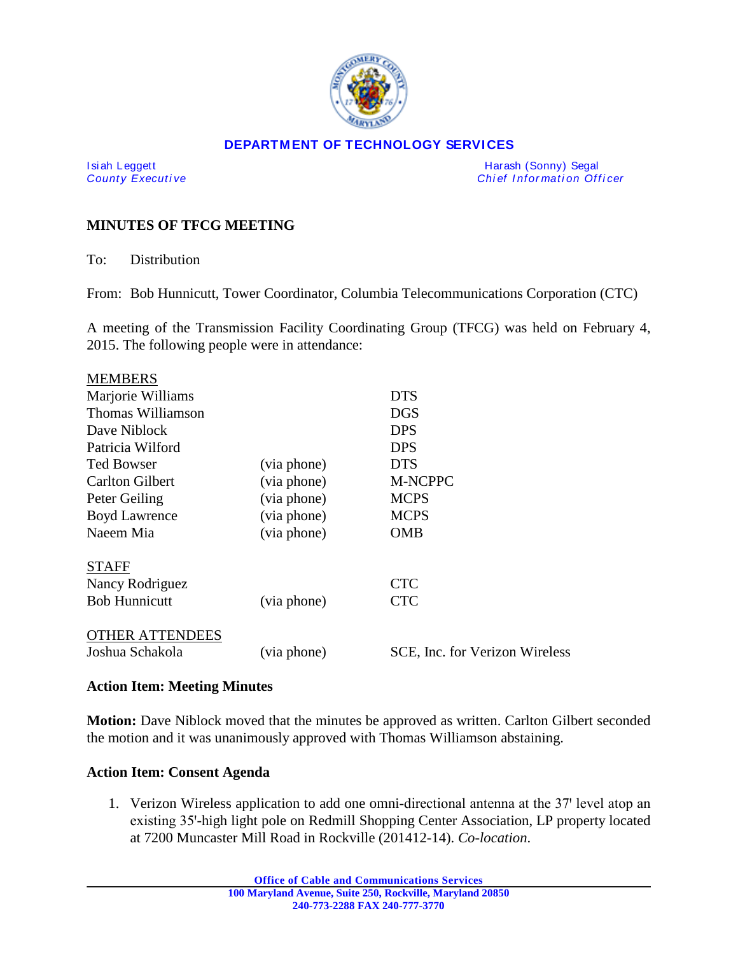

### **DEPARTMENT OF TECHNOLOGY SERVICES**

Isiah Leggett **Harash (Sonny) Segal** County Executive **Harash (Sonny) Segal** County Executive **Harash (Sonny) Segal** *Chief Information Officer* 

## **MINUTES OF TFCG MEETING**

To: Distribution

From: Bob Hunnicutt, Tower Coordinator, Columbia Telecommunications Corporation (CTC)

A meeting of the Transmission Facility Coordinating Group (TFCG) was held on February 4, 2015. The following people were in attendance:

|             | <b>DTS</b>                     |
|-------------|--------------------------------|
|             | DGS                            |
|             | <b>DPS</b>                     |
|             | <b>DPS</b>                     |
| (via phone) | <b>DTS</b>                     |
| (via phone) | <b>M-NCPPC</b>                 |
| (via phone) | <b>MCPS</b>                    |
| (via phone) | <b>MCPS</b>                    |
| (via phone) | <b>OMB</b>                     |
|             |                                |
|             | <b>CTC</b>                     |
| (via phone) | <b>CTC</b>                     |
|             |                                |
| (via phone) | SCE, Inc. for Verizon Wireless |
|             |                                |

### **Action Item: Meeting Minutes**

**Motion:** Dave Niblock moved that the minutes be approved as written. Carlton Gilbert seconded the motion and it was unanimously approved with Thomas Williamson abstaining.

### **Action Item: Consent Agenda**

1. Verizon Wireless application to add one omni-directional antenna at the 37 level atop an existing 35'-high light pole on Redmill Shopping Center Association, LP property located at 7200 Muncaster Mill Road in Rockville (201412-14). *Co-location*.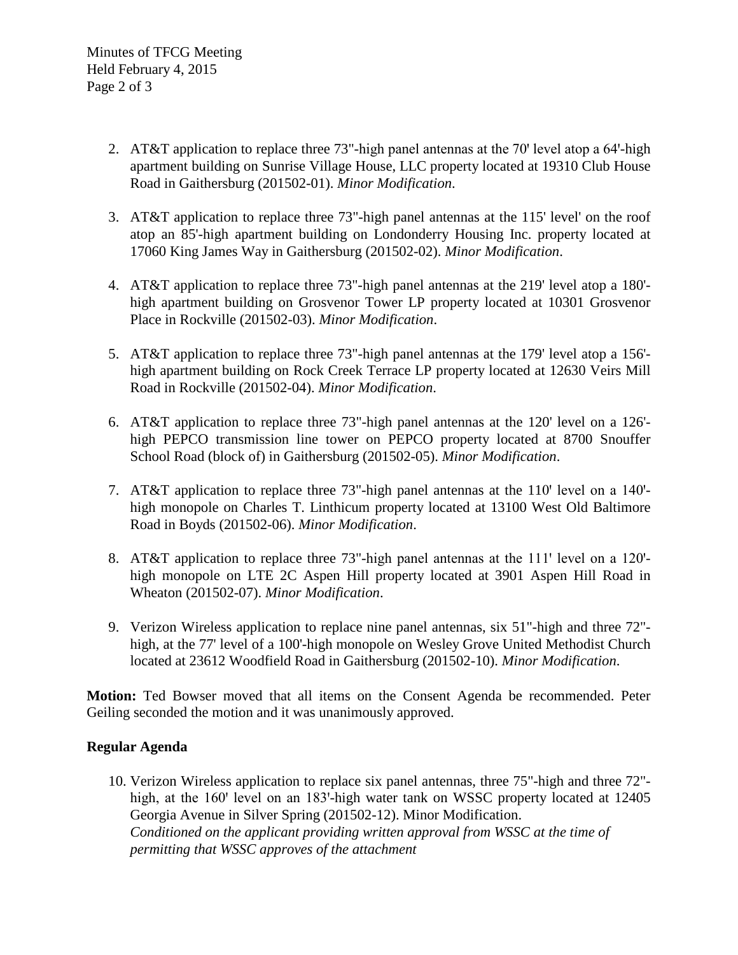- 2. AT&T application to replace three 73"-high panel antennas at the 70' level atop a 64'-high apartment building on Sunrise Village House, LLC property located at 19310 Club House Road in Gaithersburg (201502-01). *Minor Modification*.
- 3. AT&T application to replace three 73"-high panel antennas at the 115' level' on the roof atop an 85'-high apartment building on Londonderry Housing Inc. property located at 17060 King James Way in Gaithersburg (201502-02). *Minor Modification*.
- 4. AT&T application to replace three 73"-high panel antennas at the 219' level atop a 180' high apartment building on Grosvenor Tower LP property located at 10301 Grosvenor Place in Rockville (201502-03). *Minor Modification*.
- 5. AT&T application to replace three 73"-high panel antennas at the 179' level atop a 156' high apartment building on Rock Creek Terrace LP property located at 12630 Veirs Mill Road in Rockville (201502-04). *Minor Modification*.
- 6. AT&T application to replace three 73"-high panel antennas at the 120' level on a 126' high PEPCO transmission line tower on PEPCO property located at 8700 Snouffer School Road (block of) in Gaithersburg (201502-05). *Minor Modification*.
- 7. AT&T application to replace three 73"-high panel antennas at the 110' level on a 140'high monopole on Charles T. Linthicum property located at 13100 West Old Baltimore Road in Boyds (201502-06). *Minor Modification*.
- 8. AT&T application to replace three 73"-high panel antennas at the 111' level on a 120'high monopole on LTE 2C Aspen Hill property located at 3901 Aspen Hill Road in Wheaton (201502-07). *Minor Modification*.
- 9. Verizon Wireless application to replace nine panel antennas, six 51"-high and three 72" high, at the 77' level of a 100'-high monopole on Wesley Grove United Methodist Church located at 23612 Woodfield Road in Gaithersburg (201502-10). *Minor Modification*.

**Motion:** Ted Bowser moved that all items on the Consent Agenda be recommended. Peter Geiling seconded the motion and it was unanimously approved.

# **Regular Agenda**

10. Verizon Wireless application to replace six panel antennas, three 75"-high and three 72" high, at the 160' level on an 183'-high water tank on WSSC property located at 12405 Georgia Avenue in Silver Spring (201502-12). Minor Modification. *Conditioned on the applicant providing written approval from WSSC at the time of permitting that WSSC approves of the attachment*